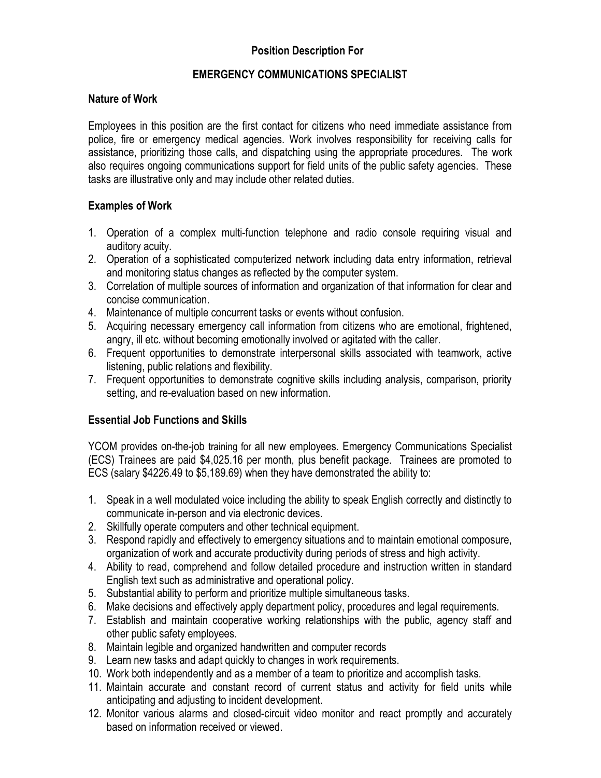# Position Description For

### EMERGENCY COMMUNICATIONS SPECIALIST

#### Nature of Work

Employees in this position are the first contact for citizens who need immediate assistance from police, fire or emergency medical agencies. Work involves responsibility for receiving calls for assistance, prioritizing those calls, and dispatching using the appropriate procedures. The work also requires ongoing communications support for field units of the public safety agencies. These tasks are illustrative only and may include other related duties.

### Examples of Work

- 1. Operation of a complex multi-function telephone and radio console requiring visual and auditory acuity.
- 2. Operation of a sophisticated computerized network including data entry information, retrieval and monitoring status changes as reflected by the computer system.
- 3. Correlation of multiple sources of information and organization of that information for clear and concise communication.
- 4. Maintenance of multiple concurrent tasks or events without confusion.
- 5. Acquiring necessary emergency call information from citizens who are emotional, frightened, angry, ill etc. without becoming emotionally involved or agitated with the caller.
- 6. Frequent opportunities to demonstrate interpersonal skills associated with teamwork, active listening, public relations and flexibility.
- 7. Frequent opportunities to demonstrate cognitive skills including analysis, comparison, priority setting, and re-evaluation based on new information.

#### Essential Job Functions and Skills

YCOM provides on-the-job training for all new employees. Emergency Communications Specialist (ECS) Trainees are paid \$4,025.16 per month, plus benefit package. Trainees are promoted to ECS (salary \$4226.49 to \$5,189.69) when they have demonstrated the ability to:

- 1. Speak in a well modulated voice including the ability to speak English correctly and distinctly to communicate in-person and via electronic devices.
- 2. Skillfully operate computers and other technical equipment.
- 3. Respond rapidly and effectively to emergency situations and to maintain emotional composure, organization of work and accurate productivity during periods of stress and high activity.
- 4. Ability to read, comprehend and follow detailed procedure and instruction written in standard English text such as administrative and operational policy.
- 5. Substantial ability to perform and prioritize multiple simultaneous tasks.
- 6. Make decisions and effectively apply department policy, procedures and legal requirements.
- 7. Establish and maintain cooperative working relationships with the public, agency staff and other public safety employees.
- 8. Maintain legible and organized handwritten and computer records
- 9. Learn new tasks and adapt quickly to changes in work requirements.
- 10. Work both independently and as a member of a team to prioritize and accomplish tasks.
- 11. Maintain accurate and constant record of current status and activity for field units while anticipating and adjusting to incident development.
- 12. Monitor various alarms and closed-circuit video monitor and react promptly and accurately based on information received or viewed.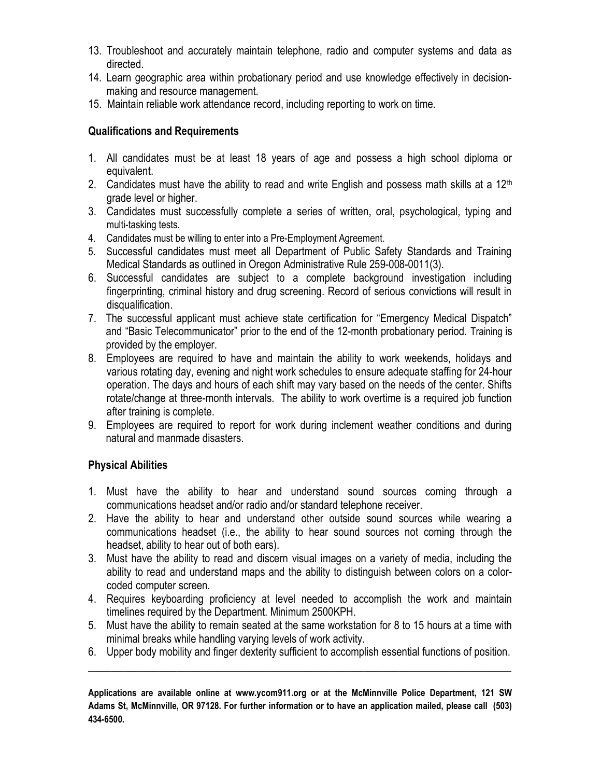- 13. Troubleshoot and accurately maintain telephone, radio and computer systems and data as directed.
- 14. Learn geographic area within probationary period and use knowledge effectively in decisionmaking and resource management.
- 15. Maintain reliable work attendance record, including reporting to work on time.

## Qualifications and Requirements

- 1. All candidates must be at least 18 years of age and possess a high school diploma or equivalent.
- 2. Candidates must have the ability to read and write English and possess math skills at a  $12<sup>th</sup>$ grade level or higher.
- 3. Candidates must successfully complete a series of written, oral, psychological, typing and multi-tasking tests.
- 4. Candidates must be willing to enter into a Pre-Employment Agreement.
- 5. Successful candidates must meet all Department of Public Safety Standards and Training Medical Standards as outlined in Oregon Administrative Rule 259-008-0011(3).
- 6. Successful candidates are subject to a complete background investigation including fingerprinting, criminal history and drug screening. Record of serious convictions will result in disqualification.
- 7. The successful applicant must achieve state certification for "Emergency Medical Dispatch" and "Basic Telecommunicator" prior to the end of the 12-month probationary period. Training is provided by the employer.
- 8. Employees are required to have and maintain the ability to work weekends, holidays and various rotating day, evening and night work schedules to ensure adequate staffing for 24-hour operation. The days and hours of each shift may vary based on the needs of the center. Shifts rotate/change at three-month intervals. The ability to work overtime is a required job function after training is complete.
- 9. Employees are required to report for work during inclement weather conditions and during natural and manmade disasters.

# Physical Abilities

- 1. Must have the ability to hear and understand sound sources coming through a communications headset and/or radio and/or standard telephone receiver.
- 2. Have the ability to hear and understand other outside sound sources while wearing a communications headset (i.e., the ability to hear sound sources not coming through the headset, ability to hear out of both ears).
- 3. Must have the ability to read and discern visual images on a variety of media, including the ability to read and understand maps and the ability to distinguish between colors on a colorcoded computer screen.
- 4. Requires keyboarding proficiency at level needed to accomplish the work and maintain timelines required by the Department. Minimum 2500KPH.
- 5. Must have the ability to remain seated at the same workstation for 8 to 15 hours at a time with minimal breaks while handling varying levels of work activity.
- 6. Upper body mobility and finger dexterity sufficient to accomplish essential functions of position.

Applications are available online at www.ycom911.org or at the McMinnville Police Department, 121 SW Adams St, McMinnville, OR 97128. For further information or to have an application mailed, please call (503) 434-6500.